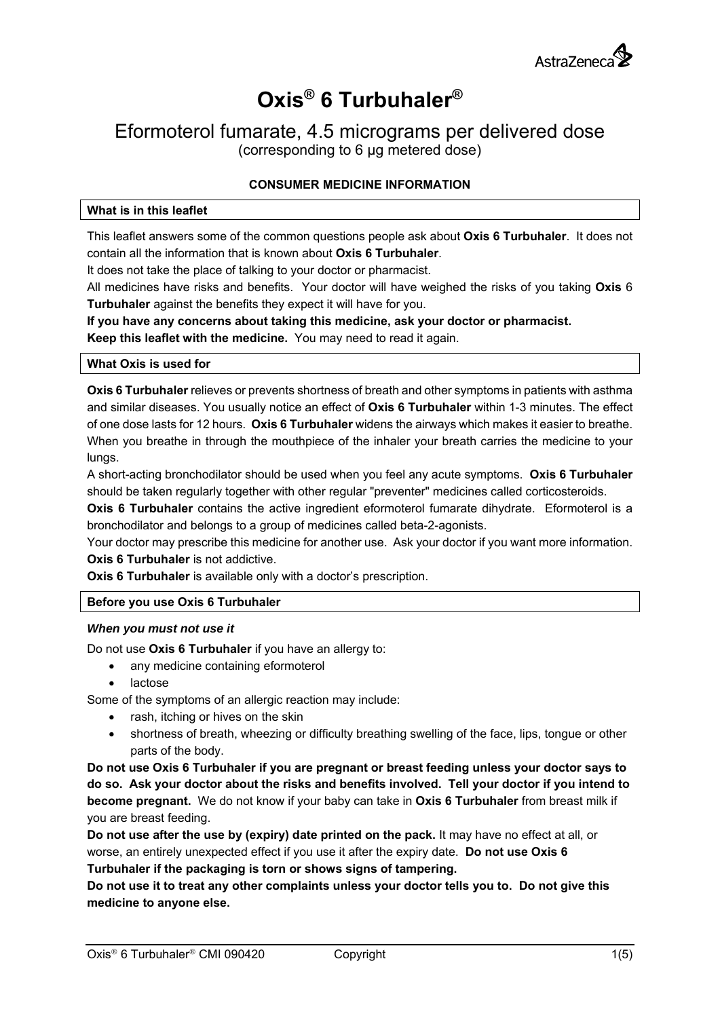

# **Oxis® 6 Turbuhaler®**

## Eformoterol fumarate, 4.5 micrograms per delivered dose (corresponding to 6 µg metered dose)

## **CONSUMER MEDICINE INFORMATION**

#### **What is in this leaflet**

This leaflet answers some of the common questions people ask about **Oxis 6 Turbuhaler**. It does not contain all the information that is known about **Oxis 6 Turbuhaler**.

It does not take the place of talking to your doctor or pharmacist.

All medicines have risks and benefits. Your doctor will have weighed the risks of you taking **Oxis** 6 **Turbuhaler** against the benefits they expect it will have for you.

**If you have any concerns about taking this medicine, ask your doctor or pharmacist. Keep this leaflet with the medicine.** You may need to read it again.

#### **What Oxis is used for**

**Oxis 6 Turbuhaler** relieves or prevents shortness of breath and other symptoms in patients with asthma and similar diseases. You usually notice an effect of **Oxis 6 Turbuhaler** within 1-3 minutes. The effect of one dose lasts for 12 hours. **Oxis 6 Turbuhaler** widens the airways which makes it easier to breathe. When you breathe in through the mouthpiece of the inhaler your breath carries the medicine to your lungs.

A short-acting bronchodilator should be used when you feel any acute symptoms. **Oxis 6 Turbuhaler** should be taken regularly together with other regular "preventer" medicines called corticosteroids.

**Oxis 6 Turbuhaler** contains the active ingredient eformoterol fumarate dihydrate. Eformoterol is a bronchodilator and belongs to a group of medicines called beta-2-agonists.

Your doctor may prescribe this medicine for another use. Ask your doctor if you want more information. **Oxis 6 Turbuhaler** is not addictive.

**Oxis 6 Turbuhaler** is available only with a doctor's prescription.

### **Before you use Oxis 6 Turbuhaler**

#### *When you must not use it*

Do not use **Oxis 6 Turbuhaler** if you have an allergy to:

- any medicine containing eformoterol
- lactose

Some of the symptoms of an allergic reaction may include:

- rash, itching or hives on the skin
- shortness of breath, wheezing or difficulty breathing swelling of the face, lips, tongue or other parts of the body.

**Do not use Oxis 6 Turbuhaler if you are pregnant or breast feeding unless your doctor says to do so. Ask your doctor about the risks and benefits involved. Tell your doctor if you intend to become pregnant.** We do not know if your baby can take in **Oxis 6 Turbuhaler** from breast milk if you are breast feeding.

**Do not use after the use by (expiry) date printed on the pack.** It may have no effect at all, or worse, an entirely unexpected effect if you use it after the expiry date. **Do not use Oxis 6 Turbuhaler if the packaging is torn or shows signs of tampering.**

**Do not use it to treat any other complaints unless your doctor tells you to. Do not give this medicine to anyone else.**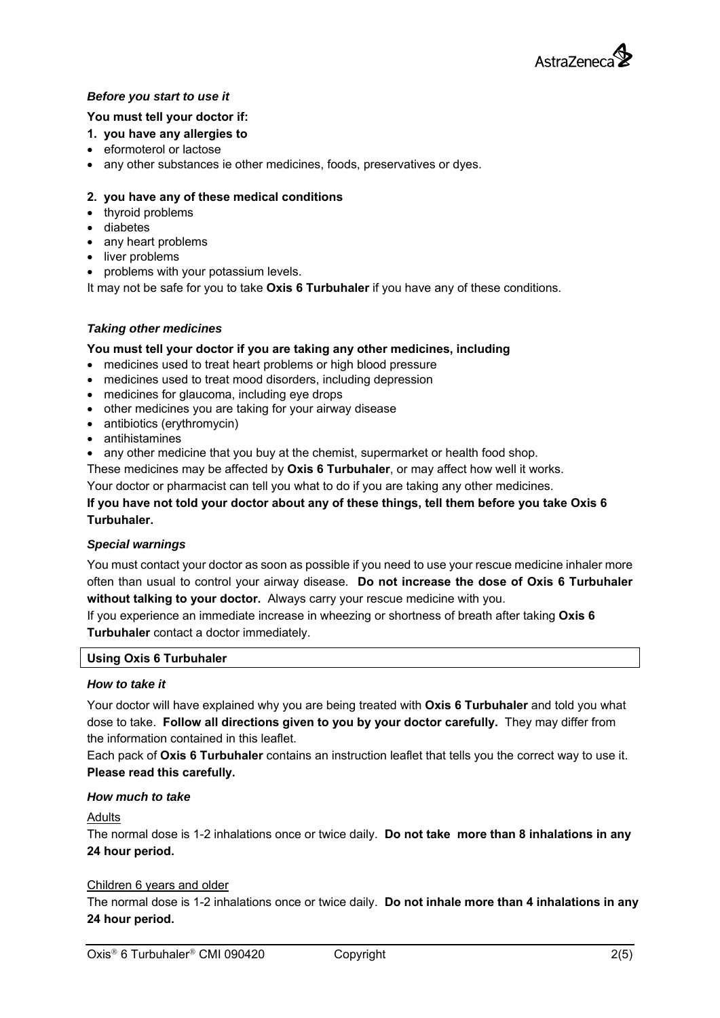

## *Before you start to use it*

#### **You must tell your doctor if:**

#### **1. you have any allergies to**

- eformoterol or lactose
- any other substances ie other medicines, foods, preservatives or dyes.

#### **2. you have any of these medical conditions**

- thyroid problems
- diabetes
- any heart problems
- liver problems
- problems with your potassium levels.

It may not be safe for you to take **Oxis 6 Turbuhaler** if you have any of these conditions.

#### *Taking other medicines*

#### **You must tell your doctor if you are taking any other medicines, including**

- medicines used to treat heart problems or high blood pressure
- medicines used to treat mood disorders, including depression
- medicines for glaucoma, including eye drops
- other medicines you are taking for your airway disease
- antibiotics (erythromycin)
- antihistamines
- any other medicine that you buy at the chemist, supermarket or health food shop.

These medicines may be affected by **Oxis 6 Turbuhaler**, or may affect how well it works.

Your doctor or pharmacist can tell you what to do if you are taking any other medicines.

## **If you have not told your doctor about any of these things, tell them before you take Oxis 6 Turbuhaler.**

#### *Special warnings*

You must contact your doctor as soon as possible if you need to use your rescue medicine inhaler more often than usual to control your airway disease. **Do not increase the dose of Oxis 6 Turbuhaler without talking to your doctor.** Always carry your rescue medicine with you.

If you experience an immediate increase in wheezing or shortness of breath after taking **Oxis 6 Turbuhaler** contact a doctor immediately.

#### **Using Oxis 6 Turbuhaler**

#### *How to take it*

Your doctor will have explained why you are being treated with **Oxis 6 Turbuhaler** and told you what dose to take. **Follow all directions given to you by your doctor carefully.** They may differ from the information contained in this leaflet.

Each pack of **Oxis 6 Turbuhaler** contains an instruction leaflet that tells you the correct way to use it. **Please read this carefully.** 

#### *How much to take*

#### **Adults**

The normal dose is 1-2 inhalations once or twice daily. **Do not take more than 8 inhalations in any 24 hour period.** 

#### Children 6 years and older

The normal dose is 1-2 inhalations once or twice daily. **Do not inhale more than 4 inhalations in any 24 hour period.**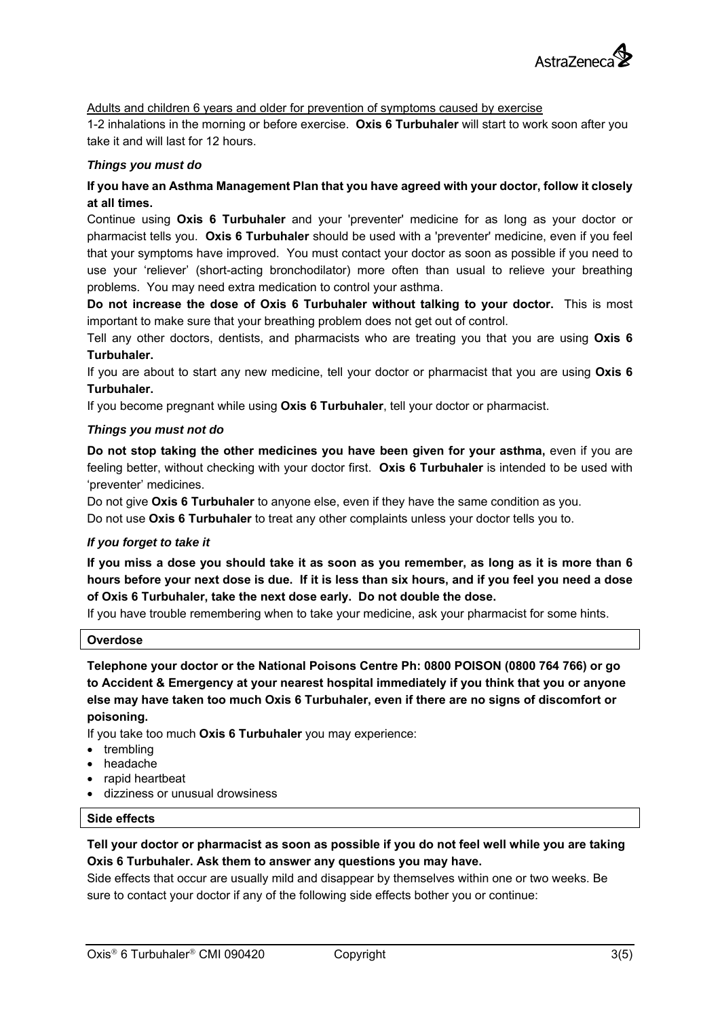

Adults and children 6 years and older for prevention of symptoms caused by exercise

1-2 inhalations in the morning or before exercise. **Oxis 6 Turbuhaler** will start to work soon after you take it and will last for 12 hours.

#### *Things you must do*

## **If you have an Asthma Management Plan that you have agreed with your doctor, follow it closely at all times.**

Continue using **Oxis 6 Turbuhaler** and your 'preventer' medicine for as long as your doctor or pharmacist tells you. **Oxis 6 Turbuhaler** should be used with a 'preventer' medicine, even if you feel that your symptoms have improved. You must contact your doctor as soon as possible if you need to use your 'reliever' (short-acting bronchodilator) more often than usual to relieve your breathing problems. You may need extra medication to control your asthma.

**Do not increase the dose of Oxis 6 Turbuhaler without talking to your doctor.** This is most important to make sure that your breathing problem does not get out of control.

Tell any other doctors, dentists, and pharmacists who are treating you that you are using **Oxis 6 Turbuhaler.**

If you are about to start any new medicine, tell your doctor or pharmacist that you are using **Oxis 6 Turbuhaler.**

If you become pregnant while using **Oxis 6 Turbuhaler**, tell your doctor or pharmacist.

#### *Things you must not do*

**Do not stop taking the other medicines you have been given for your asthma,** even if you are feeling better, without checking with your doctor first. **Oxis 6 Turbuhaler** is intended to be used with 'preventer' medicines.

Do not give **Oxis 6 Turbuhaler** to anyone else, even if they have the same condition as you. Do not use **Oxis 6 Turbuhaler** to treat any other complaints unless your doctor tells you to.

#### *If you forget to take it*

**If you miss a dose you should take it as soon as you remember, as long as it is more than 6 hours before your next dose is due. If it is less than six hours, and if you feel you need a dose of Oxis 6 Turbuhaler, take the next dose early. Do not double the dose.** 

If you have trouble remembering when to take your medicine, ask your pharmacist for some hints.

#### **Overdose**

**Telephone your doctor or the National Poisons Centre Ph: 0800 POISON (0800 764 766) or go to Accident & Emergency at your nearest hospital immediately if you think that you or anyone else may have taken too much Oxis 6 Turbuhaler, even if there are no signs of discomfort or poisoning.** 

If you take too much **Oxis 6 Turbuhaler** you may experience:

- trembling
- headache
- rapid heartbeat
- dizziness or unusual drowsiness

#### **Side effects**

## **Tell your doctor or pharmacist as soon as possible if you do not feel well while you are taking Oxis 6 Turbuhaler. Ask them to answer any questions you may have.**

Side effects that occur are usually mild and disappear by themselves within one or two weeks. Be sure to contact your doctor if any of the following side effects bother you or continue: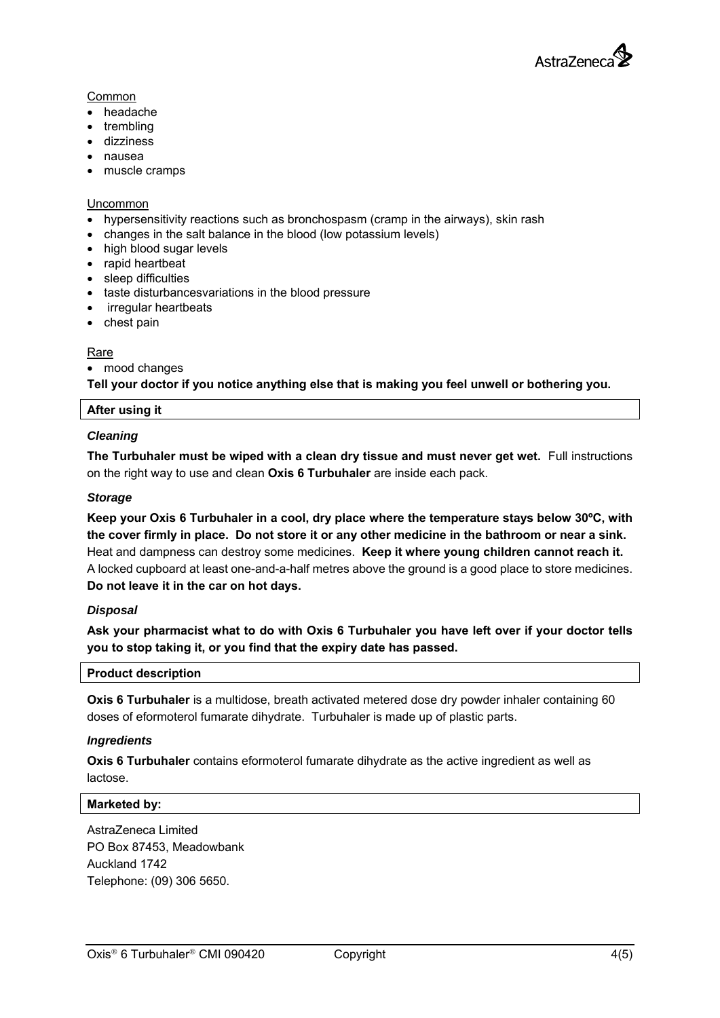

## Common

- headache
- trembling
- dizziness
- nausea
- muscle cramps

#### Uncommon

- hypersensitivity reactions such as bronchospasm (cramp in the airways), skin rash
- changes in the salt balance in the blood (low potassium levels)
- high blood sugar levels
- rapid heartbeat
- sleep difficulties
- taste disturbancesvariations in the blood pressure
- irregular heartbeats
- chest pain

## Rare

• mood changes

**Tell your doctor if you notice anything else that is making you feel unwell or bothering you.** 

### **After using it**

## *Cleaning*

**The Turbuhaler must be wiped with a clean dry tissue and must never get wet.** Full instructions on the right way to use and clean **Oxis 6 Turbuhaler** are inside each pack.

## *Storage*

**Keep your Oxis 6 Turbuhaler in a cool, dry place where the temperature stays below 30ºC, with the cover firmly in place. Do not store it or any other medicine in the bathroom or near a sink.** Heat and dampness can destroy some medicines. **Keep it where young children cannot reach it.**  A locked cupboard at least one-and-a-half metres above the ground is a good place to store medicines. **Do not leave it in the car on hot days.** 

## *Disposal*

**Ask your pharmacist what to do with Oxis 6 Turbuhaler you have left over if your doctor tells you to stop taking it, or you find that the expiry date has passed.** 

### **Product description**

**Oxis 6 Turbuhaler** is a multidose, breath activated metered dose dry powder inhaler containing 60 doses of eformoterol fumarate dihydrate. Turbuhaler is made up of plastic parts.

### *Ingredients*

**Oxis 6 Turbuhaler** contains eformoterol fumarate dihydrate as the active ingredient as well as lactose.

#### **Marketed by:**

AstraZeneca Limited PO Box 87453, Meadowbank Auckland 1742 Telephone: (09) 306 5650.